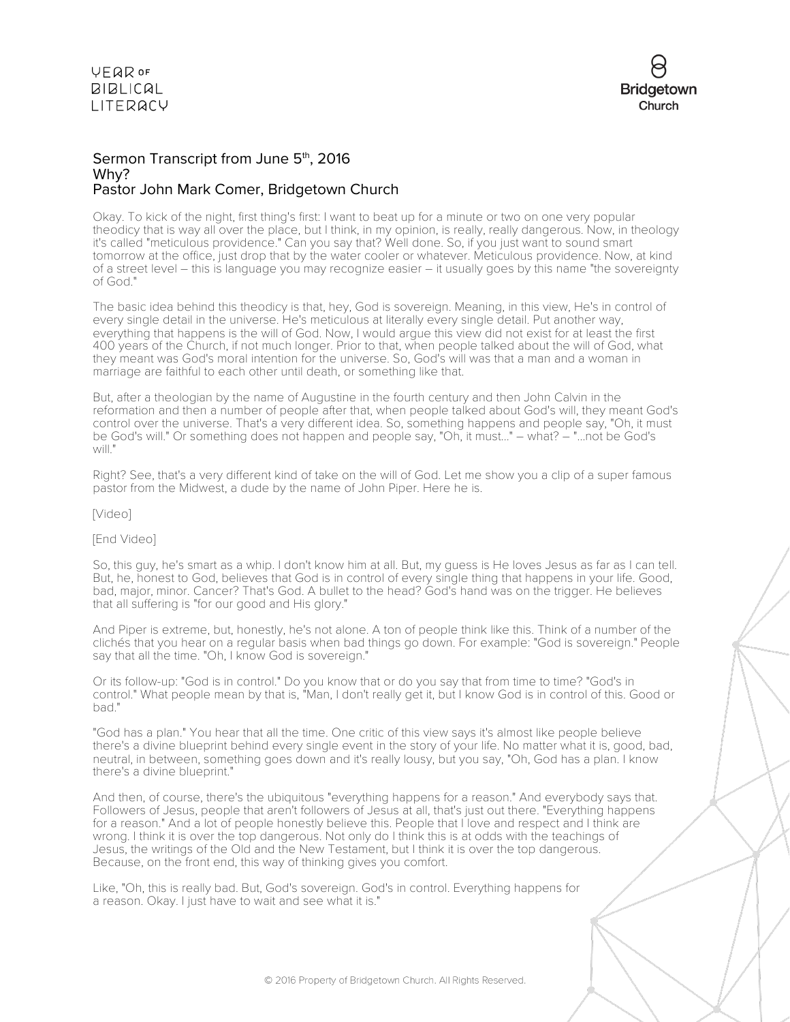

#### Sermon Transcript from June 5<sup>th</sup>, 2016 Why? Pastor John Mark Comer, Bridgetown Church

Okay. To kick of the night, first thing's first: I want to beat up for a minute or two on one very popular theodicy that is way all over the place, but I think, in my opinion, is really, really dangerous. Now, in theology it's called "meticulous providence." Can you say that? Well done. So, if you just want to sound smart tomorrow at the office, just drop that by the water cooler or whatever. Meticulous providence. Now, at kind of a street level – this is language you may recognize easier – it usually goes by this name "the sovereignty of God."

The basic idea behind this theodicy is that, hey, God is sovereign. Meaning, in this view, He's in control of every single detail in the universe. He's meticulous at literally every single detail. Put another way, everything that happens is the will of God. Now, I would argue this view did not exist for at least the first 400 years of the Church, if not much longer. Prior to that, when people talked about the will of God, what they meant was God's moral intention for the universe. So, God's will was that a man and a woman in marriage are faithful to each other until death, or something like that.

But, after a theologian by the name of Augustine in the fourth century and then John Calvin in the reformation and then a number of people after that, when people talked about God's will, they meant God's control over the universe. That's a very different idea. So, something happens and people say, "Oh, it must be God's will." Or something does not happen and people say, "Oh, it must..." – what? – "...not be God's will."

Right? See, that's a very different kind of take on the will of God. Let me show you a clip of a super famous pastor from the Midwest, a dude by the name of John Piper. Here he is.

[Video]

#### [End Video]

So, this guy, he's smart as a whip. I don't know him at all. But, my guess is He loves Jesus as far as I can tell. But, he, honest to God, believes that God is in control of every single thing that happens in your life. Good, bad, major, minor. Cancer? That's God. A bullet to the head? God's hand was on the trigger. He believes that all suffering is "for our good and His glory."

And Piper is extreme, but, honestly, he's not alone. A ton of people think like this. Think of a number of the clichés that you hear on a regular basis when bad things go down. For example: "God is sovereign." People say that all the time. "Oh, I know God is sovereign."

Or its follow-up: "God is in control." Do you know that or do you say that from time to time? "God's in control." What people mean by that is, "Man, I don't really get it, but I know God is in control of this. Good or bad."

"God has a plan." You hear that all the time. One critic of this view says it's almost like people believe there's a divine blueprint behind every single event in the story of your life. No matter what it is, good, bad, neutral, in between, something goes down and it's really lousy, but you say, "Oh, God has a plan. I know there's a divine blueprint."

And then, of course, there's the ubiquitous "everything happens for a reason." And everybody says that. Followers of Jesus, people that aren't followers of Jesus at all, that's just out there. "Everything happens for a reason." And a lot of people honestly believe this. People that I love and respect and I think are wrong. I think it is over the top dangerous. Not only do I think this is at odds with the teachings of Jesus, the writings of the Old and the New Testament, but I think it is over the top dangerous. Because, on the front end, this way of thinking gives you comfort.

Like, "Oh, this is really bad. But, God's sovereign. God's in control. Everything happens for a reason. Okay. I just have to wait and see what it is."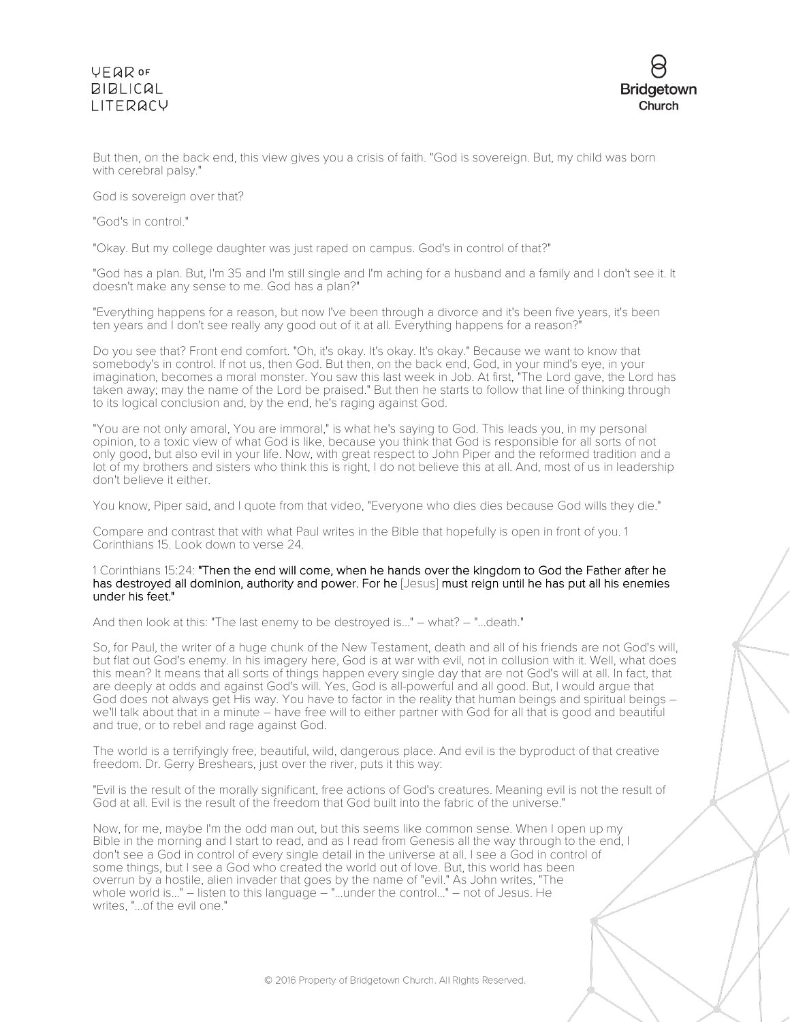

But then, on the back end, this view gives you a crisis of faith. "God is sovereign. But, my child was born with cerebral palsy."

God is sovereign over that?

"God's in control."

"Okay. But my college daughter was just raped on campus. God's in control of that?"

"God has a plan. But, I'm 35 and I'm still single and I'm aching for a husband and a family and I don't see it. It doesn't make any sense to me. God has a plan?"

"Everything happens for a reason, but now I've been through a divorce and it's been five years, it's been ten years and I don't see really any good out of it at all. Everything happens for a reason?

Do you see that? Front end comfort. "Oh, it's okay. It's okay. It's okay." Because we want to know that somebody's in control. If not us, then God. But then, on the back end, God, in your mind's eye, in your imagination, becomes a moral monster. You saw this last week in Job. At first, "The Lord gave, the Lord has taken away; may the name of the Lord be praised." But then he starts to follow that line of thinking through to its logical conclusion and, by the end, he's raging against God.

"You are not only amoral, You are immoral," is what he's saying to God. This leads you, in my personal opinion, to a toxic view of what God is like, because you think that God is responsible for all sorts of not only good, but also evil in your life. Now, with great respect to John Piper and the reformed tradition and a lot of my brothers and sisters who think this is right, I do not believe this at all. And, most of us in leadership don't believe it either.

You know, Piper said, and I quote from that video, "Everyone who dies dies because God wills they die."

Compare and contrast that with what Paul writes in the Bible that hopefully is open in front of you. 1 Corinthians 15. Look down to verse 24.

1 Corinthians 15:24: "Then the end will come, when he hands over the kingdom to God the Father after he has destroyed all dominion, authority and power. For he [Jesus] must reign until he has put all his enemies under his feet."

And then look at this: "The last enemy to be destroyed is..." – what? – "...death."

So, for Paul, the writer of a huge chunk of the New Testament, death and all of his friends are not God's will, but flat out God's enemy. In his imagery here, God is at war with evil, not in collusion with it. Well, what does this mean? It means that all sorts of things happen every single day that are not God's will at all. In fact, that are deeply at odds and against God's will. Yes, God is all-powerful and all good. But, I would argue that God does not always get His way. You have to factor in the reality that human beings and spiritual beings – we'll talk about that in a minute – have free will to either partner with God for all that is good and beautiful and true, or to rebel and rage against God.

The world is a terrifyingly free, beautiful, wild, dangerous place. And evil is the byproduct of that creative freedom. Dr. Gerry Breshears, just over the river, puts it this way:

"Evil is the result of the morally significant, free actions of God's creatures. Meaning evil is not the result of God at all. Evil is the result of the freedom that God built into the fabric of the universe."

Now, for me, maybe I'm the odd man out, but this seems like common sense. When I open up my Bible in the morning and I start to read, and as I read from Genesis all the way through to the end, I don't see a God in control of every single detail in the universe at all. I see a God in control of some things, but I see a God who created the world out of love. But, this world has been overrun by a hostile, alien invader that goes by the name of "evil." As John writes, "The whole world is..." – listen to this language – "...under the control..." – not of Jesus. He writes, "...of the evil one."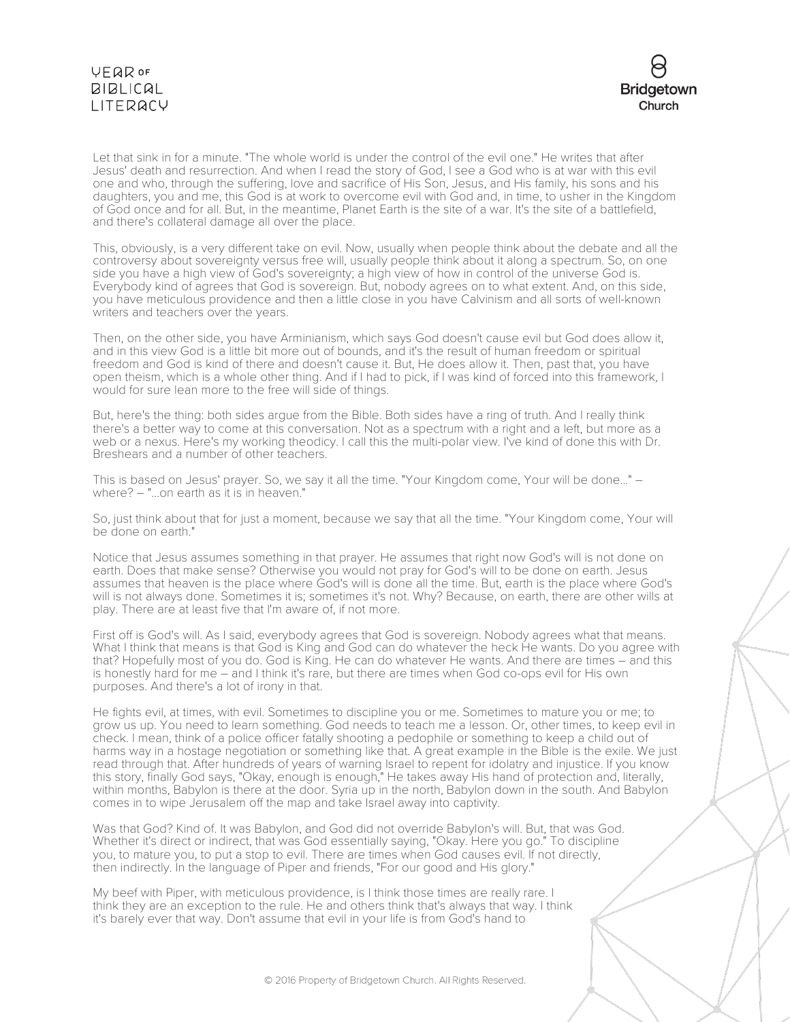

Let that sink in for a minute. "The whole world is under the control of the evil one." He writes that after Jesus' death and resurrection. And when I read the story of God, I see a God who is at war with this evil one and who, through the suffering, love and sacrifice of His Son, Jesus, and His family, his sons and his daughters, you and me, this God is at work to overcome evil with God and, in time, to usher in the Kingdom of God once and for all. But, in the meantime, Planet Earth is the site of a war. It's the site of a battlefield, and there's collateral damage all over the place.

This, obviously, is a very different take on evil. Now, usually when people think about the debate and all the controversy about sovereignty versus free will, usually people think about it along a spectrum. So, on one side you have a high view of God's sovereignty; a high view of how in control of the universe God is. Everybody kind of agrees that God is sovereign. But, nobody agrees on to what extent. And, on this side, you have meticulous providence and then a little close in you have Calvinism and all sorts of well-known writers and teachers over the years.

Then, on the other side, you have Arminianism, which says God doesn't cause evil but God does allow it, and in this view God is a little bit more out of bounds, and it's the result of human freedom or spiritual freedom and God is kind of there and doesn't cause it. But, He does allow it. Then, past that, you have open theism, which is a whole other thing. And if I had to pick, if I was kind of forced into this framework, I would for sure lean more to the free will side of things.

But, here's the thing: both sides argue from the Bible. Both sides have a ring of truth. And I really think there's a better way to come at this conversation. Not as a spectrum with a right and a left, but more as a web or a nexus. Here's my working theodicy. I call this the multi-polar view. I've kind of done this with Dr. Breshears and a number of other teachers.

This is based on Jesus' prayer. So, we say it all the time. "Your Kingdom come, Your will be done..." – where? – "...on earth as it is in heaven."

So, just think about that for just a moment, because we say that all the time. "Your Kingdom come, Your will be done on earth."

Notice that Jesus assumes something in that prayer. He assumes that right now God's will is not done on earth. Does that make sense? Otherwise you would not pray for God's will to be done on earth. Jesus assumes that heaven is the place where God's will is done all the time. But, earth is the place where God's will is not always done. Sometimes it is; sometimes it's not. Why? Because, on earth, there are other wills at play. There are at least five that I'm aware of, if not more.

First off is God's will. As I said, everybody agrees that God is sovereign. Nobody agrees what that means. What I think that means is that God is King and God can do whatever the heck He wants. Do you agree with that? Hopefully most of you do. God is King. He can do whatever He wants. And there are times – and this is honestly hard for me – and I think it's rare, but there are times when God co-ops evil for His own purposes. And there's a lot of irony in that.

He fights evil, at times, with evil. Sometimes to discipline you or me. Sometimes to mature you or me; to grow us up. You need to learn something. God needs to teach me a lesson. Or, other times, to keep evil in check. I mean, think of a police officer fatally shooting a pedophile or something to keep a child out of harms way in a hostage negotiation or something like that. A great example in the Bible is the exile. We just read through that. After hundreds of years of warning Israel to repent for idolatry and injustice. If you know this story, finally God says, "Okay, enough is enough," He takes away His hand of protection and, literally, within months, Babylon is there at the door. Syria up in the north, Babylon down in the south. And Babylon comes in to wipe Jerusalem off the map and take Israel away into captivity.

Was that God? Kind of. It was Babylon, and God did not override Babylon's will. But, that was God. Whether it's direct or indirect, that was God essentially saying, "Okay. Here you go." To discipline you, to mature you, to put a stop to evil. There are times when God causes evil. If not directly, then indirectly. In the language of Piper and friends, "For our good and His glory."

My beef with Piper, with meticulous providence, is I think those times are really rare. I think they are an exception to the rule. He and others think that's always that way. I think it's barely ever that way. Don't assume that evil in your life is from God's hand to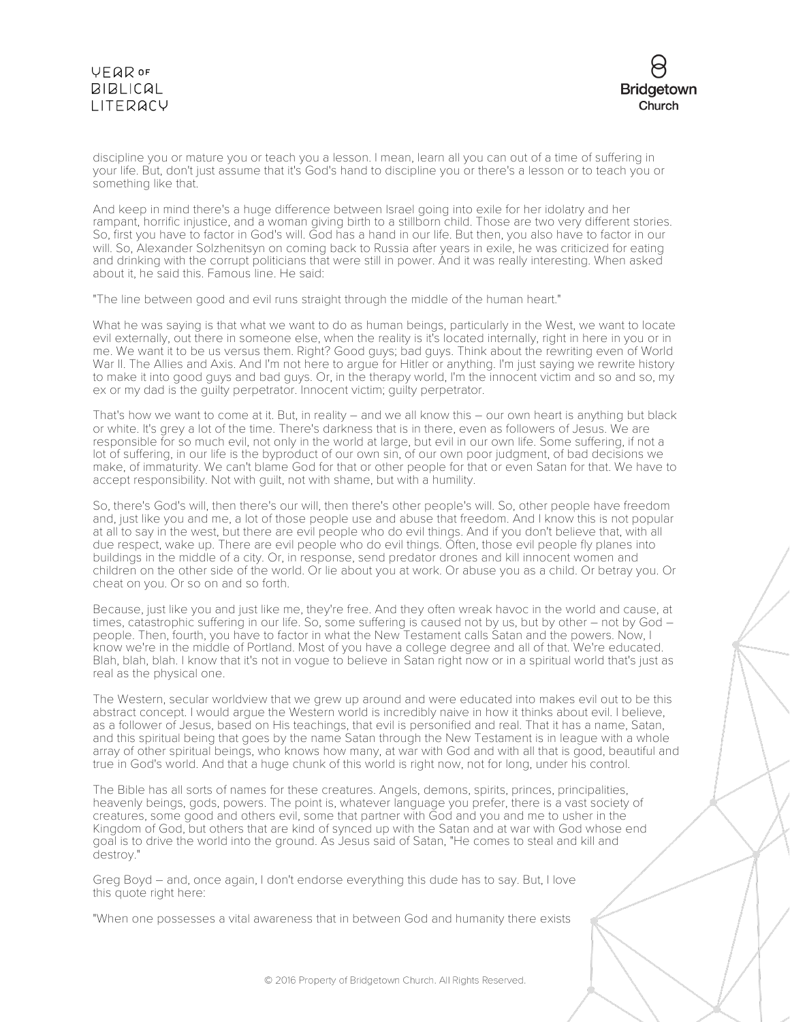

discipline you or mature you or teach you a lesson. I mean, learn all you can out of a time of suffering in your life. But, don't just assume that it's God's hand to discipline you or there's a lesson or to teach you or something like that.

And keep in mind there's a huge difference between Israel going into exile for her idolatry and her rampant, horrific injustice, and a woman giving birth to a stillborn child. Those are two very different stories. So, first you have to factor in God's will. God has a hand in our life. But then, you also have to factor in our will. So, Alexander Solzhenitsyn on coming back to Russia after years in exile, he was criticized for eating and drinking with the corrupt politicians that were still in power. And it was really interesting. When asked about it, he said this. Famous line. He said:

"The line between good and evil runs straight through the middle of the human heart."

What he was saying is that what we want to do as human beings, particularly in the West, we want to locate evil externally, out there in someone else, when the reality is it's located internally, right in here in you or in me. We want it to be us versus them. Right? Good guys; bad guys. Think about the rewriting even of World War II. The Allies and Axis. And I'm not here to argue for Hitler or anything. I'm just saying we rewrite history to make it into good guys and bad guys. Or, in the therapy world, I'm the innocent victim and so and so, my ex or my dad is the guilty perpetrator. Innocent victim; guilty perpetrator.

That's how we want to come at it. But, in reality – and we all know this – our own heart is anything but black or white. It's grey a lot of the time. There's darkness that is in there, even as followers of Jesus. We are responsible for so much evil, not only in the world at large, but evil in our own life. Some suffering, if not a lot of suffering, in our life is the byproduct of our own sin, of our own poor judgment, of bad decisions we make, of immaturity. We can't blame God for that or other people for that or even Satan for that. We have to accept responsibility. Not with guilt, not with shame, but with a humility.

So, there's God's will, then there's our will, then there's other people's will. So, other people have freedom and, just like you and me, a lot of those people use and abuse that freedom. And I know this is not popular at all to say in the west, but there are evil people who do evil things. And if you don't believe that, with all due respect, wake up. There are evil people who do evil things. Often, those evil people fly planes into buildings in the middle of a city. Or, in response, send predator drones and kill innocent women and children on the other side of the world. Or lie about you at work. Or abuse you as a child. Or betray you. Or cheat on you. Or so on and so forth.

Because, just like you and just like me, they're free. And they often wreak havoc in the world and cause, at times, catastrophic suffering in our life. So, some suffering is caused not by us, but by other – not by God – people. Then, fourth, you have to factor in what the New Testament calls Satan and the powers. Now, I know we're in the middle of Portland. Most of you have a college degree and all of that. We're educated. Blah, blah, blah. I know that it's not in vogue to believe in Satan right now or in a spiritual world that's just as real as the physical one.

The Western, secular worldview that we grew up around and were educated into makes evil out to be this abstract concept. I would argue the Western world is incredibly naive in how it thinks about evil. I believe, as a follower of Jesus, based on His teachings, that evil is personified and real. That it has a name, Satan, and this spiritual being that goes by the name Satan through the New Testament is in league with a whole array of other spiritual beings, who knows how many, at war with God and with all that is good, beautiful and true in God's world. And that a huge chunk of this world is right now, not for long, under his control.

The Bible has all sorts of names for these creatures. Angels, demons, spirits, princes, principalities, heavenly beings, gods, powers. The point is, whatever language you prefer, there is a vast society of creatures, some good and others evil, some that partner with God and you and me to usher in the Kingdom of God, but others that are kind of synced up with the Satan and at war with God whose end goal is to drive the world into the ground. As Jesus said of Satan, "He comes to steal and kill and destroy."

Greg Boyd – and, once again, I don't endorse everything this dude has to say. But, I love this quote right here:

"When one possesses a vital awareness that in between God and humanity there exists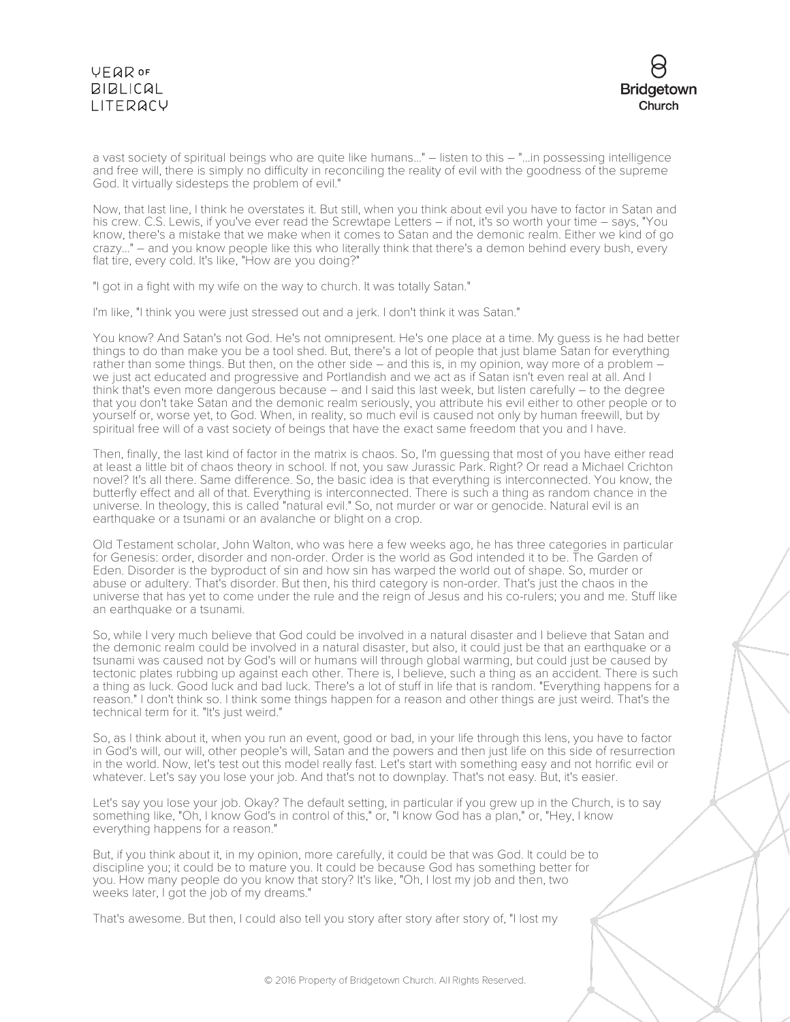

a vast society of spiritual beings who are quite like humans..." – listen to this – "...in possessing intelligence and free will, there is simply no difficulty in reconciling the reality of evil with the goodness of the supreme God. It virtually sidesteps the problem of evil."

Now, that last line, I think he overstates it. But still, when you think about evil you have to factor in Satan and his crew. C.S. Lewis, if you've ever read the Screwtape Letters – if not, it's so worth your time – says, "You know, there's a mistake that we make when it comes to Satan and the demonic realm. Either we kind of go crazy..." – and you know people like this who literally think that there's a demon behind every bush, every flat tire, every cold. It's like, "How are you doing?"

"I got in a fight with my wife on the way to church. It was totally Satan."

I'm like, "I think you were just stressed out and a jerk. I don't think it was Satan."

You know? And Satan's not God. He's not omnipresent. He's one place at a time. My guess is he had better things to do than make you be a tool shed. But, there's a lot of people that just blame Satan for everything rather than some things. But then, on the other side – and this is, in my opinion, way more of a problem – we just act educated and progressive and Portlandish and we act as if Satan isn't even real at all. And I think that's even more dangerous because – and I said this last week, but listen carefully – to the degree that you don't take Satan and the demonic realm seriously, you attribute his evil either to other people or to yourself or, worse yet, to God. When, in reality, so much evil is caused not only by human freewill, but by spiritual free will of a vast society of beings that have the exact same freedom that you and I have.

Then, finally, the last kind of factor in the matrix is chaos. So, I'm guessing that most of you have either read at least a little bit of chaos theory in school. If not, you saw Jurassic Park. Right? Or read a Michael Crichton novel? It's all there. Same difference. So, the basic idea is that everything is interconnected. You know, the butterfly effect and all of that. Everything is interconnected. There is such a thing as random chance in the universe. In theology, this is called "natural evil." So, not murder or war or genocide. Natural evil is an earthquake or a tsunami or an avalanche or blight on a crop.

Old Testament scholar, John Walton, who was here a few weeks ago, he has three categories in particular for Genesis: order, disorder and non-order. Order is the world as God intended it to be. The Garden of Eden. Disorder is the byproduct of sin and how sin has warped the world out of shape. So, murder or abuse or adultery. That's disorder. But then, his third category is non-order. That's just the chaos in the universe that has yet to come under the rule and the reign of Jesus and his co-rulers; you and me. Stuff like an earthquake or a tsunami.

So, while I very much believe that God could be involved in a natural disaster and I believe that Satan and the demonic realm could be involved in a natural disaster, but also, it could just be that an earthquake or a tsunami was caused not by God's will or humans will through global warming, but could just be caused by tectonic plates rubbing up against each other. There is, I believe, such a thing as an accident. There is such a thing as luck. Good luck and bad luck. There's a lot of stuff in life that is random. "Everything happens for a reason." I don't think so. I think some things happen for a reason and other things are just weird. That's the technical term for it. "It's just weird."

So, as I think about it, when you run an event, good or bad, in your life through this lens, you have to factor in God's will, our will, other people's will, Satan and the powers and then just life on this side of resurrection in the world. Now, let's test out this model really fast. Let's start with something easy and not horrific evil or whatever. Let's say you lose your job. And that's not to downplay. That's not easy. But, it's easier.

Let's say you lose your job. Okay? The default setting, in particular if you grew up in the Church, is to say something like, "Oh, I know God's in control of this," or, "I know God has a plan," or, "Hey, I know everything happens for a reason."

But, if you think about it, in my opinion, more carefully, it could be that was God. It could be to discipline you; it could be to mature you. It could be because God has something better for you. How many people do you know that story? It's like, "Oh, I lost my job and then, two weeks later, I got the job of my dreams."

That's awesome. But then, I could also tell you story after story after story of, "I lost my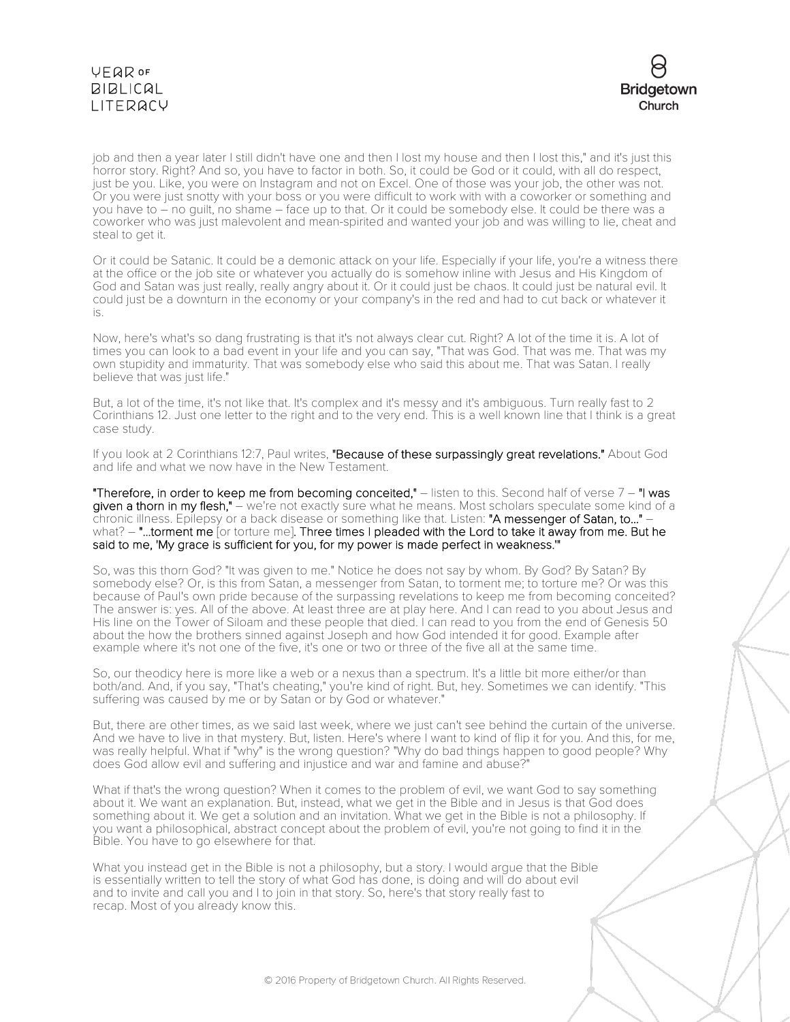

job and then a year later I still didn't have one and then I lost my house and then I lost this," and it's just this horror story. Right? And so, you have to factor in both. So, it could be God or it could, with all do respect, just be you. Like, you were on Instagram and not on Excel. One of those was your job, the other was not. Or you were just snotty with your boss or you were difficult to work with with a coworker or something and you have to – no guilt, no shame – face up to that. Or it could be somebody else. It could be there was a coworker who was just malevolent and mean-spirited and wanted your job and was willing to lie, cheat and steal to get it.

Or it could be Satanic. It could be a demonic attack on your life. Especially if your life, you're a witness there at the office or the job site or whatever you actually do is somehow inline with Jesus and His Kingdom of God and Satan was just really, really angry about it. Or it could just be chaos. It could just be natural evil. It could just be a downturn in the economy or your company's in the red and had to cut back or whatever it is.

Now, here's what's so dang frustrating is that it's not always clear cut. Right? A lot of the time it is. A lot of times you can look to a bad event in your life and you can say, "That was God. That was me. That was my own stupidity and immaturity. That was somebody else who said this about me. That was Satan. I really believe that was just life."

But, a lot of the time, it's not like that. It's complex and it's messy and it's ambiguous. Turn really fast to 2 Corinthians 12. Just one letter to the right and to the very end. This is a well known line that I think is a great case study.

If you look at 2 Corinthians 12:7, Paul writes, "Because of these surpassingly great revelations." About God and life and what we now have in the New Testament.

"Therefore, in order to keep me from becoming conceited,"  $-$  listen to this. Second half of verse  $7 -$ "I was given a thorn in my flesh," - we're not exactly sure what he means. Most scholars speculate some kind of a chronic illness. Epilepsy or a back disease or something like that. Listen: "A messenger of Satan, to..." what? – "...torment me [or torture me]. Three times I pleaded with the Lord to take it away from me. But he said to me, 'My grace is sufficient for you, for my power is made perfect in weakness.'"

So, was this thorn God? "It was given to me." Notice he does not say by whom. By God? By Satan? By somebody else? Or, is this from Satan, a messenger from Satan, to torment me; to torture me? Or was this because of Paul's own pride because of the surpassing revelations to keep me from becoming conceited? The answer is: yes. All of the above. At least three are at play here. And I can read to you about Jesus and His line on the Tower of Siloam and these people that died. I can read to you from the end of Genesis 50 about the how the brothers sinned against Joseph and how God intended it for good. Example after example where it's not one of the five, it's one or two or three of the five all at the same time.

So, our theodicy here is more like a web or a nexus than a spectrum. It's a little bit more either/or than both/and. And, if you say, "That's cheating," you're kind of right. But, hey. Sometimes we can identify. "This suffering was caused by me or by Satan or by God or whatever."

But, there are other times, as we said last week, where we just can't see behind the curtain of the universe. And we have to live in that mystery. But, listen. Here's where I want to kind of flip it for you. And this, for me, was really helpful. What if "why" is the wrong question? "Why do bad things happen to good people? Why does God allow evil and suffering and injustice and war and famine and abuse?"

What if that's the wrong question? When it comes to the problem of evil, we want God to say something about it. We want an explanation. But, instead, what we get in the Bible and in Jesus is that God does something about it. We get a solution and an invitation. What we get in the Bible is not a philosophy. If you want a philosophical, abstract concept about the problem of evil, you're not going to find it in the Bible. You have to go elsewhere for that.

What you instead get in the Bible is not a philosophy, but a story. I would argue that the Bible is essentially written to tell the story of what God has done, is doing and will do about evil and to invite and call you and I to join in that story. So, here's that story really fast to recap. Most of you already know this.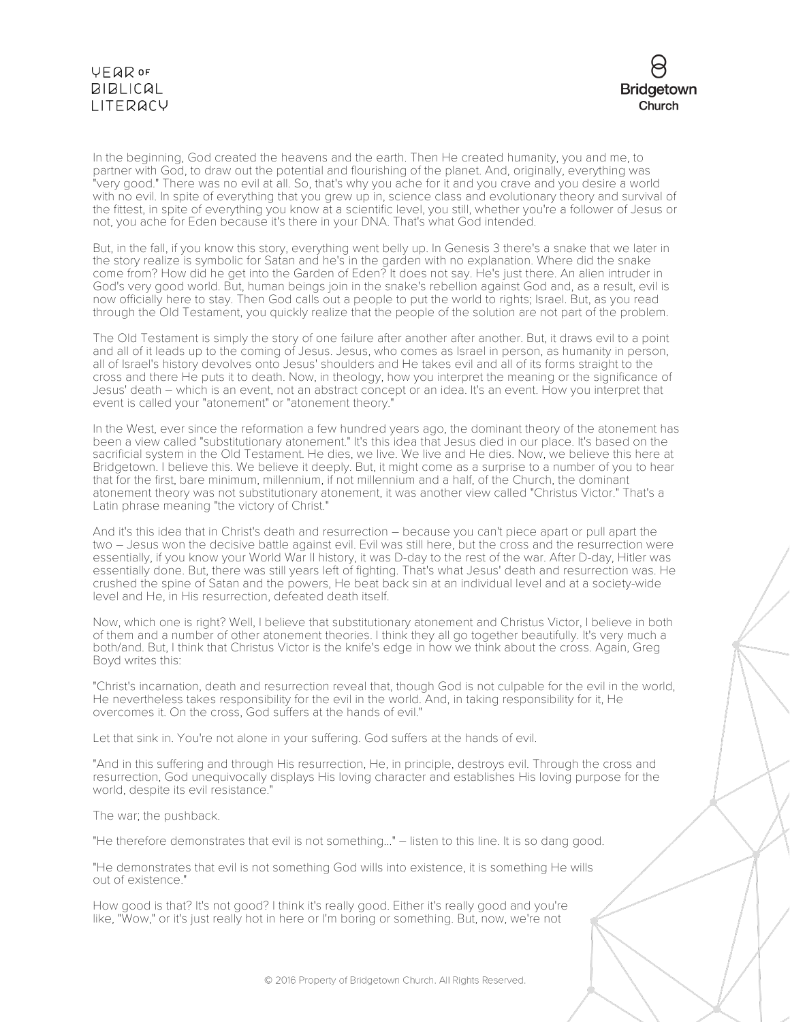

In the beginning, God created the heavens and the earth. Then He created humanity, you and me, to partner with God, to draw out the potential and flourishing of the planet. And, originally, everything was "very good." There was no evil at all. So, that's why you ache for it and you crave and you desire a world with no evil. In spite of everything that you grew up in, science class and evolutionary theory and survival of the fittest, in spite of everything you know at a scientific level, you still, whether you're a follower of Jesus or not, you ache for Eden because it's there in your DNA. That's what God intended.

But, in the fall, if you know this story, everything went belly up. In Genesis 3 there's a snake that we later in the story realize is symbolic for Satan and he's in the garden with no explanation. Where did the snake come from? How did he get into the Garden of Eden? It does not say. He's just there. An alien intruder in God's very good world. But, human beings join in the snake's rebellion against God and, as a result, evil is now officially here to stay. Then God calls out a people to put the world to rights; Israel. But, as you read through the Old Testament, you quickly realize that the people of the solution are not part of the problem.

The Old Testament is simply the story of one failure after another after another. But, it draws evil to a point and all of it leads up to the coming of Jesus. Jesus, who comes as Israel in person, as humanity in person, all of Israel's history devolves onto Jesus' shoulders and He takes evil and all of its forms straight to the cross and there He puts it to death. Now, in theology, how you interpret the meaning or the significance of Jesus' death – which is an event, not an abstract concept or an idea. It's an event. How you interpret that event is called your "atonement" or "atonement theory."

In the West, ever since the reformation a few hundred years ago, the dominant theory of the atonement has been a view called "substitutionary atonement." It's this idea that Jesus died in our place. It's based on the sacrificial system in the Old Testament. He dies, we live. We live and He dies. Now, we believe this here at Bridgetown. I believe this. We believe it deeply. But, it might come as a surprise to a number of you to hear that for the first, bare minimum, millennium, if not millennium and a half, of the Church, the dominant atonement theory was not substitutionary atonement, it was another view called "Christus Victor." That's a Latin phrase meaning "the victory of Christ."

And it's this idea that in Christ's death and resurrection – because you can't piece apart or pull apart the two – Jesus won the decisive battle against evil. Evil was still here, but the cross and the resurrection were essentially, if you know your World War II history, it was D-day to the rest of the war. After D-day, Hitler was essentially done. But, there was still years left of fighting. That's what Jesus' death and resurrection was. He crushed the spine of Satan and the powers, He beat back sin at an individual level and at a society-wide level and He, in His resurrection, defeated death itself.

Now, which one is right? Well, I believe that substitutionary atonement and Christus Victor, I believe in both of them and a number of other atonement theories. I think they all go together beautifully. It's very much a both/and. But, I think that Christus Victor is the knife's edge in how we think about the cross. Again, Greg Boyd writes this:

"Christ's incarnation, death and resurrection reveal that, though God is not culpable for the evil in the world, He nevertheless takes responsibility for the evil in the world. And, in taking responsibility for it, He overcomes it. On the cross, God suffers at the hands of evil."

Let that sink in. You're not alone in your suffering. God suffers at the hands of evil.

"And in this suffering and through His resurrection, He, in principle, destroys evil. Through the cross and resurrection, God unequivocally displays His loving character and establishes His loving purpose for the world, despite its evil resistance."

The war; the pushback.

"He therefore demonstrates that evil is not something..." – listen to this line. It is so dang good.

"He demonstrates that evil is not something God wills into existence, it is something He wills out of existence."

How good is that? It's not good? I think it's really good. Either it's really good and you're like, "Wow," or it's just really hot in here or I'm boring or something. But, now, we're not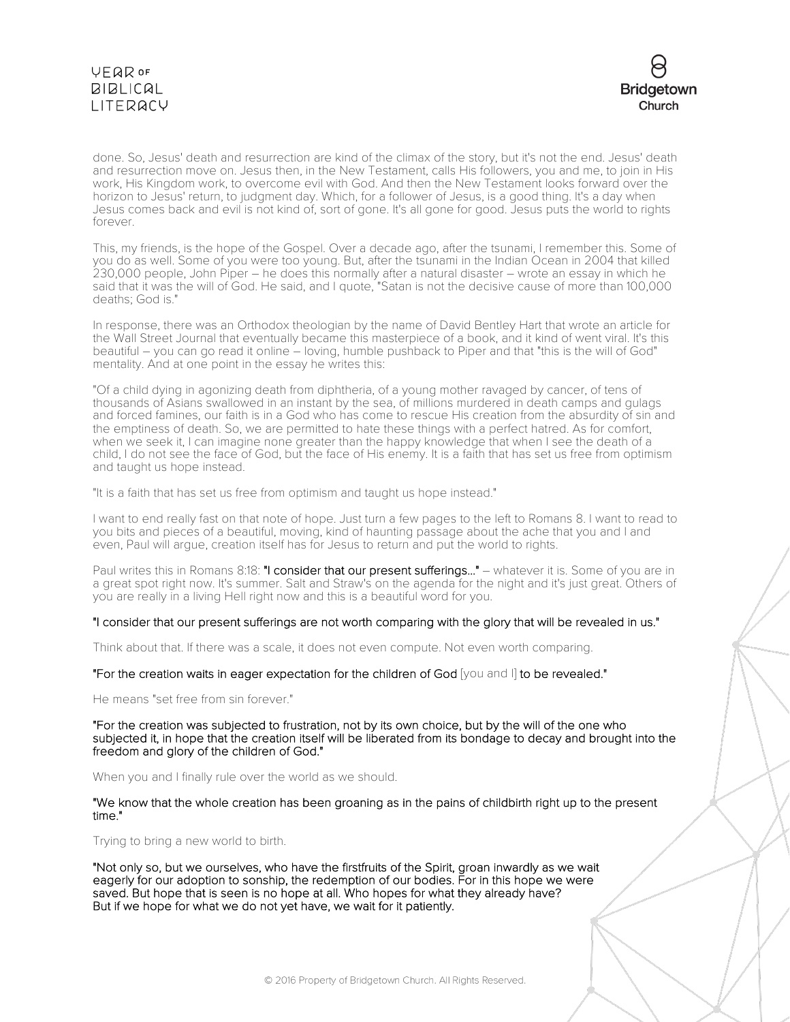

done. So, Jesus' death and resurrection are kind of the climax of the story, but it's not the end. Jesus' death and resurrection move on. Jesus then, in the New Testament, calls His followers, you and me, to join in His work, His Kingdom work, to overcome evil with God. And then the New Testament looks forward over the horizon to Jesus' return, to judgment day. Which, for a follower of Jesus, is a good thing. It's a day when Jesus comes back and evil is not kind of, sort of gone. It's all gone for good. Jesus puts the world to rights forever.

This, my friends, is the hope of the Gospel. Over a decade ago, after the tsunami, I remember this. Some of you do as well. Some of you were too young. But, after the tsunami in the Indian Ocean in 2004 that killed 230,000 people, John Piper – he does this normally after a natural disaster – wrote an essay in which he said that it was the will of God. He said, and I quote, "Satan is not the decisive cause of more than 100,000 deaths; God is."

In response, there was an Orthodox theologian by the name of David Bentley Hart that wrote an article for the Wall Street Journal that eventually became this masterpiece of a book, and it kind of went viral. It's this beautiful – you can go read it online – loving, humble pushback to Piper and that "this is the will of God" mentality. And at one point in the essay he writes this:

"Of a child dying in agonizing death from diphtheria, of a young mother ravaged by cancer, of tens of thousands of Asians swallowed in an instant by the sea, of millions murdered in death camps and gulags and forced famines, our faith is in a God who has come to rescue His creation from the absurdity of sin and the emptiness of death. So, we are permitted to hate these things with a perfect hatred. As for comfort, when we seek it, I can imagine none greater than the happy knowledge that when I see the death of a child, I do not see the face of God, but the face of His enemy. It is a faith that has set us free from optimism and taught us hope instead.

"It is a faith that has set us free from optimism and taught us hope instead."

I want to end really fast on that note of hope. Just turn a few pages to the left to Romans 8. I want to read to you bits and pieces of a beautiful, moving, kind of haunting passage about the ache that you and I and even, Paul will argue, creation itself has for Jesus to return and put the world to rights.

Paul writes this in Romans 8:18: "I consider that our present sufferings..." – whatever it is. Some of you are in a great spot right now. It's summer. Salt and Straw's on the agenda for the night and it's just great. Others of you are really in a living Hell right now and this is a beautiful word for you.

"I consider that our present sufferings are not worth comparing with the glory that will be revealed in us."

Think about that. If there was a scale, it does not even compute. Not even worth comparing.

"For the creation waits in eager expectation for the children of God [you and I] to be revealed."

He means "set free from sin forever."

"For the creation was subjected to frustration, not by its own choice, but by the will of the one who subjected it, in hope that the creation itself will be liberated from its bondage to decay and brought into the freedom and glory of the children of God."

When you and I finally rule over the world as we should.

"We know that the whole creation has been groaning as in the pains of childbirth right up to the present time."

Trying to bring a new world to birth.

"Not only so, but we ourselves, who have the firstfruits of the Spirit, groan inwardly as we wait eagerly for our adoption to sonship, the redemption of our bodies. For in this hope we were saved. But hope that is seen is no hope at all. Who hopes for what they already have? But if we hope for what we do not yet have, we wait for it patiently.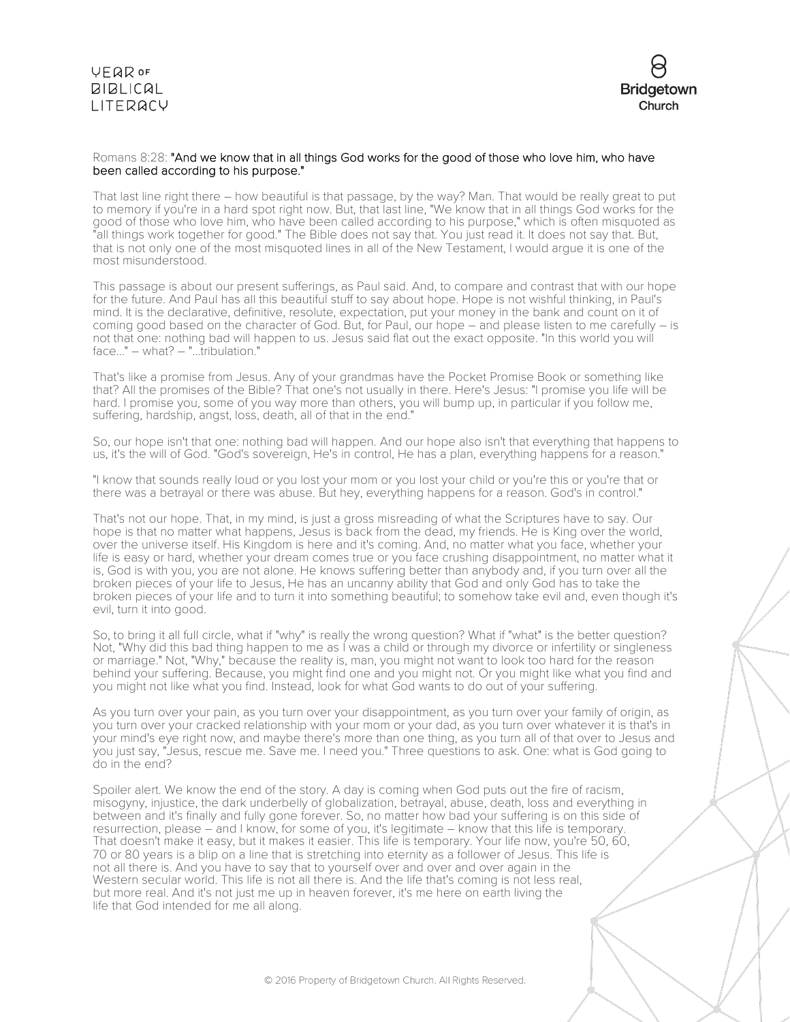

#### Romans 8:28: "And we know that in all things God works for the good of those who love him, who have been called according to his purpose."

That last line right there – how beautiful is that passage, by the way? Man. That would be really great to put to memory if you're in a hard spot right now. But, that last line, "We know that in all things God works for the good of those who love him, who have been called according to his purpose," which is often misquoted as "all things work together for good." The Bible does not say that. You just read it. It does not say that. But, that is not only one of the most misquoted lines in all of the New Testament, I would argue it is one of the most misunderstood.

This passage is about our present sufferings, as Paul said. And, to compare and contrast that with our hope for the future. And Paul has all this beautiful stuff to say about hope. Hope is not wishful thinking, in Paul's mind. It is the declarative, definitive, resolute, expectation, put your money in the bank and count on it of coming good based on the character of God. But, for Paul, our hope – and please listen to me carefully – is not that one: nothing bad will happen to us. Jesus said flat out the exact opposite. "In this world you will face..." – what? – "...tribulation."

That's like a promise from Jesus. Any of your grandmas have the Pocket Promise Book or something like that? All the promises of the Bible? That one's not usually in there. Here's Jesus: "I promise you life will be hard. I promise you, some of you way more than others, you will bump up, in particular if you follow me, suffering, hardship, angst, loss, death, all of that in the end."

So, our hope isn't that one: nothing bad will happen. And our hope also isn't that everything that happens to us, it's the will of God. "God's sovereign, He's in control, He has a plan, everything happens for a reason."

"I know that sounds really loud or you lost your mom or you lost your child or you're this or you're that or there was a betrayal or there was abuse. But hey, everything happens for a reason. God's in control."

That's not our hope. That, in my mind, is just a gross misreading of what the Scriptures have to say. Our hope is that no matter what happens, Jesus is back from the dead, my friends. He is King over the world, over the universe itself. His Kingdom is here and it's coming. And, no matter what you face, whether your life is easy or hard, whether your dream comes true or you face crushing disappointment, no matter what it is, God is with you, you are not alone. He knows suffering better than anybody and, if you turn over all the broken pieces of your life to Jesus, He has an uncanny ability that God and only God has to take the broken pieces of your life and to turn it into something beautiful; to somehow take evil and, even though it's evil, turn it into good.

So, to bring it all full circle, what if "why" is really the wrong question? What if "what" is the better question? Not, "Why did this bad thing happen to me as I was a child or through my divorce or infertility or singleness or marriage." Not, "Why," because the reality is, man, you might not want to look too hard for the reason behind your suffering. Because, you might find one and you might not. Or you might like what you find and you might not like what you find. Instead, look for what God wants to do out of your suffering.

As you turn over your pain, as you turn over your disappointment, as you turn over your family of origin, as you turn over your cracked relationship with your mom or your dad, as you turn over whatever it is that's in your mind's eye right now, and maybe there's more than one thing, as you turn all of that over to Jesus and you just say, "Jesus, rescue me. Save me. I need you." Three questions to ask. One: what is God going to do in the end?

Spoiler alert. We know the end of the story. A day is coming when God puts out the fire of racism, misogyny, injustice, the dark underbelly of globalization, betrayal, abuse, death, loss and everything in between and it's finally and fully gone forever. So, no matter how bad your suffering is on this side of resurrection, please – and I know, for some of you, it's legitimate – know that this life is temporary. That doesn't make it easy, but it makes it easier. This life is temporary. Your life now, you're 50, 60, 70 or 80 years is a blip on a line that is stretching into eternity as a follower of Jesus. This life is not all there is. And you have to say that to yourself over and over and over again in the Western secular world. This life is not all there is. And the life that's coming is not less real, but more real. And it's not just me up in heaven forever, it's me here on earth living the life that God intended for me all along.